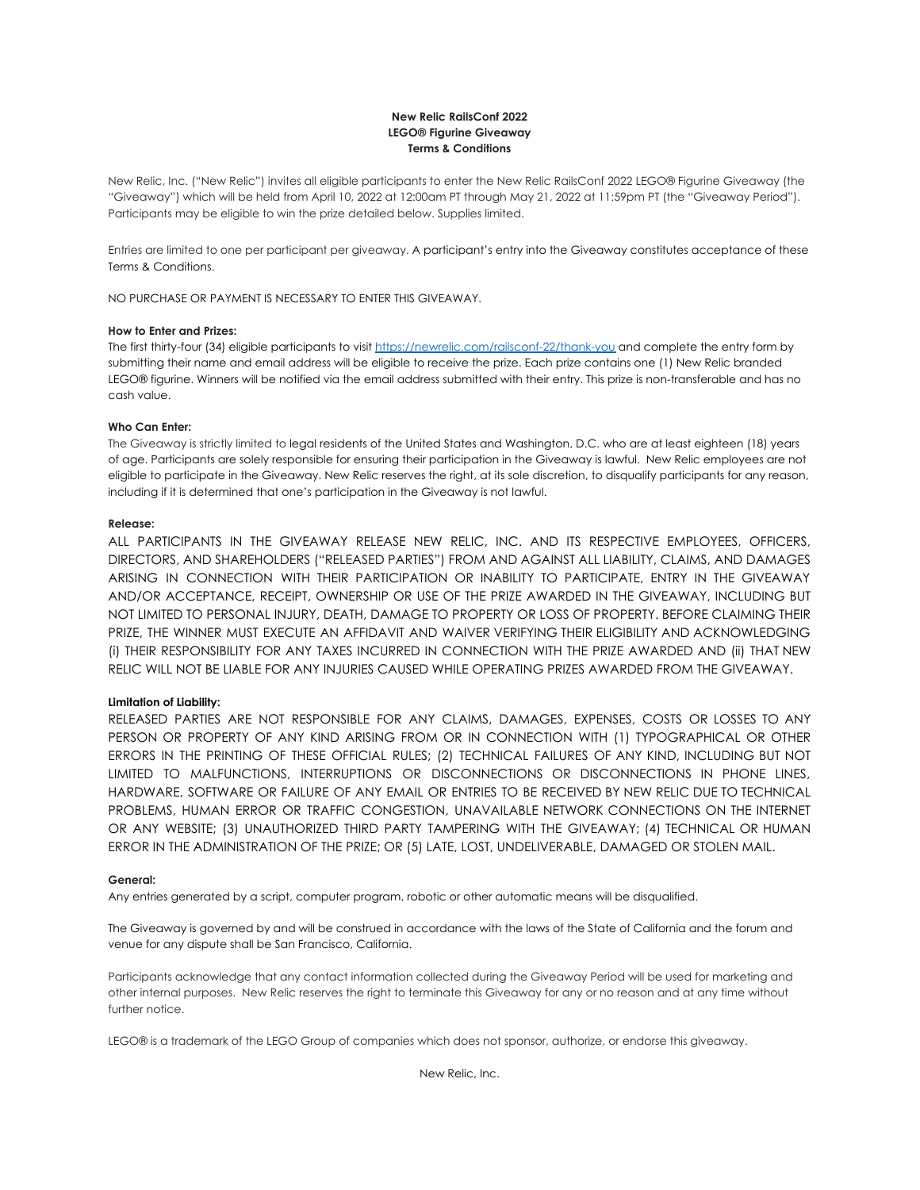# **New Relic RailsConf 2022 LEGO® Figurine Giveaway Terms & Conditions**

New Relic, Inc. ("New Relic") invites all eligible participants to enter the New Relic RailsConf 2022 LEGO® Figurine Giveaway (the "Giveaway") which will be held from April 10, 2022 at 12:00am PT through May 21, 2022 at 11:59pm PT (the "Giveaway Period"). Participants may be eligible to win the prize detailed below. Supplies limited.

Entries are limited to one per participant per giveaway. A participant's entry into the Giveaway constitutes acceptance of these Terms & Conditions.

NO PURCHASE OR PAYMENT IS NECESSARY TO ENTER THIS GIVEAWAY.

## **How to Enter and Prizes:**

The first thirty-four (34) eligible participants to visit <https://newrelic.com/railsconf-22/thank-you> and complete the entry form by submitting their name and email address will be eligible to receive the prize. Each prize contains one (1) New Relic branded LEGO® figurine. Winners will be notified via the email address submitted with their entry. This prize is non-transferable and has no cash value.

### **Who Can Enter:**

The Giveaway is strictly limited to legal residents of the United States and Washington, D.C. who are at least eighteen (18) years of age. Participants are solely responsible for ensuring their participation in the Giveaway is lawful. New Relic employees are not eligible to participate in the Giveaway. New Relic reserves the right, at its sole discretion, to disqualify participants for any reason, including if it is determined that one's participation in the Giveaway is not lawful.

### **Release:**

ALL PARTICIPANTS IN THE GIVEAWAY RELEASE NEW RELIC, INC. AND ITS RESPECTIVE EMPLOYEES, OFFICERS, DIRECTORS, AND SHAREHOLDERS ("RELEASED PARTIES") FROM AND AGAINST ALL LIABILITY, CLAIMS, AND DAMAGES ARISING IN CONNECTION WITH THEIR PARTICIPATION OR INABILITY TO PARTICIPATE, ENTRY IN THE GIVEAWAY AND/OR ACCEPTANCE, RECEIPT, OWNERSHIP OR USE OF THE PRIZE AWARDED IN THE GIVEAWAY, INCLUDING BUT NOT LIMITED TO PERSONAL INJURY, DEATH, DAMAGE TO PROPERTY OR LOSS OF PROPERTY. BEFORE CLAIMING THEIR PRIZE, THE WINNER MUST EXECUTE AN AFFIDAVIT AND WAIVER VERIFYING THEIR ELIGIBILITY AND ACKNOWLEDGING (i) THEIR RESPONSIBILITY FOR ANY TAXES INCURRED IN CONNECTION WITH THE PRIZE AWARDED AND (ii) THAT NEW RELIC WILL NOT BE LIABLE FOR ANY INJURIES CAUSED WHILE OPERATING PRIZES AWARDED FROM THE GIVEAWAY.

### **Limitation of Liability:**

RELEASED PARTIES ARE NOT RESPONSIBLE FOR ANY CLAIMS, DAMAGES, EXPENSES, COSTS OR LOSSES TO ANY PERSON OR PROPERTY OF ANY KIND ARISING FROM OR IN CONNECTION WITH (1) TYPOGRAPHICAL OR OTHER ERRORS IN THE PRINTING OF THESE OFFICIAL RULES; (2) TECHNICAL FAILURES OF ANY KIND, INCLUDING BUT NOT LIMITED TO MALFUNCTIONS, INTERRUPTIONS OR DISCONNECTIONS OR DISCONNECTIONS IN PHONE LINES, HARDWARE, SOFTWARE OR FAILURE OF ANY EMAIL OR ENTRIES TO BE RECEIVED BY NEW RELIC DUE TO TECHNICAL PROBLEMS, HUMAN ERROR OR TRAFFIC CONGESTION, UNAVAILABLE NETWORK CONNECTIONS ON THE INTERNET OR ANY WEBSITE; (3) UNAUTHORIZED THIRD PARTY TAMPERING WITH THE GIVEAWAY; (4) TECHNICAL OR HUMAN ERROR IN THE ADMINISTRATION OF THE PRIZE; OR (5) LATE, LOST, UNDELIVERABLE, DAMAGED OR STOLEN MAIL.

#### **General:**

Any entries generated by a script, computer program, robotic or other automatic means will be disqualified.

The Giveaway is governed by and will be construed in accordance with the laws of the State of California and the forum and venue for any dispute shall be San Francisco, California.

Participants acknowledge that any contact information collected during the Giveaway Period will be used for marketing and other internal purposes. New Relic reserves the right to terminate this Giveaway for any or no reason and at any time without further notice.

LEGO® is a trademark of the LEGO Group of companies which does not sponsor, authorize, or endorse this giveaway.